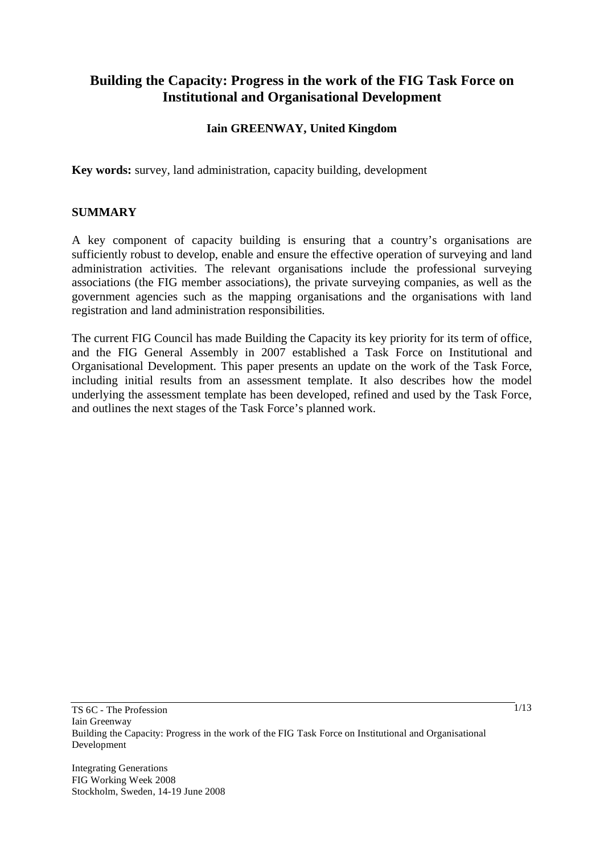# **Building the Capacity: Progress in the work of the FIG Task Force on Institutional and Organisational Development**

# **Iain GREENWAY, United Kingdom**

**Key words:** survey, land administration, capacity building, development

### **SUMMARY**

A key component of capacity building is ensuring that a country's organisations are sufficiently robust to develop, enable and ensure the effective operation of surveying and land administration activities. The relevant organisations include the professional surveying associations (the FIG member associations), the private surveying companies, as well as the government agencies such as the mapping organisations and the organisations with land registration and land administration responsibilities.

The current FIG Council has made Building the Capacity its key priority for its term of office, and the FIG General Assembly in 2007 established a Task Force on Institutional and Organisational Development. This paper presents an update on the work of the Task Force, including initial results from an assessment template. It also describes how the model underlying the assessment template has been developed, refined and used by the Task Force, and outlines the next stages of the Task Force's planned work.

Integrating Generations FIG Working Week 2008 Stockholm, Sweden, 14-19 June 2008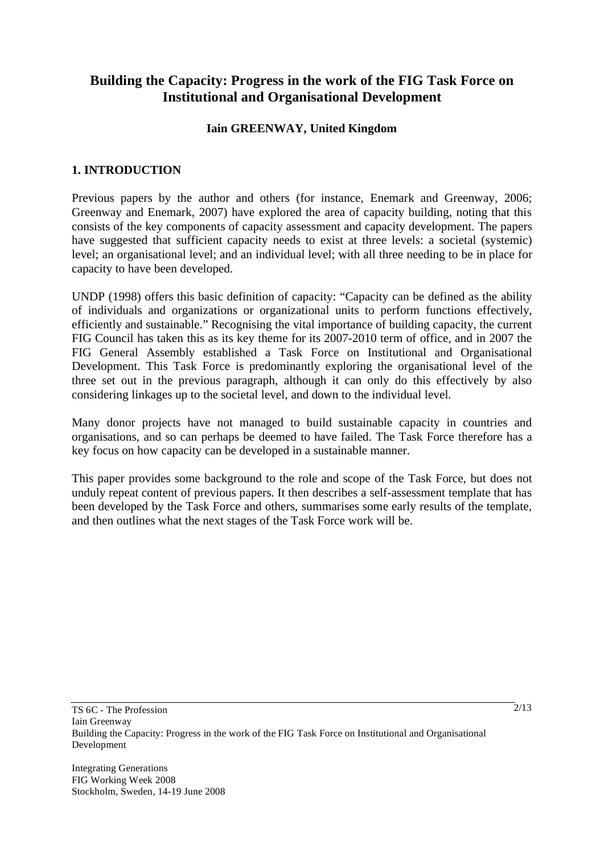# **Building the Capacity: Progress in the work of the FIG Task Force on Institutional and Organisational Development**

### **Iain GREENWAY, United Kingdom**

# **1. INTRODUCTION**

Previous papers by the author and others (for instance, Enemark and Greenway, 2006; Greenway and Enemark, 2007) have explored the area of capacity building, noting that this consists of the key components of capacity assessment and capacity development. The papers have suggested that sufficient capacity needs to exist at three levels: a societal (systemic) level; an organisational level; and an individual level; with all three needing to be in place for capacity to have been developed.

UNDP (1998) offers this basic definition of capacity: "Capacity can be defined as the ability of individuals and organizations or organizational units to perform functions effectively, efficiently and sustainable." Recognising the vital importance of building capacity, the current FIG Council has taken this as its key theme for its 2007-2010 term of office, and in 2007 the FIG General Assembly established a Task Force on Institutional and Organisational Development. This Task Force is predominantly exploring the organisational level of the three set out in the previous paragraph, although it can only do this effectively by also considering linkages up to the societal level, and down to the individual level.

Many donor projects have not managed to build sustainable capacity in countries and organisations, and so can perhaps be deemed to have failed. The Task Force therefore has a key focus on how capacity can be developed in a sustainable manner.

This paper provides some background to the role and scope of the Task Force, but does not unduly repeat content of previous papers. It then describes a self-assessment template that has been developed by the Task Force and others, summarises some early results of the template, and then outlines what the next stages of the Task Force work will be.

Integrating Generations FIG Working Week 2008 Stockholm, Sweden, 14-19 June 2008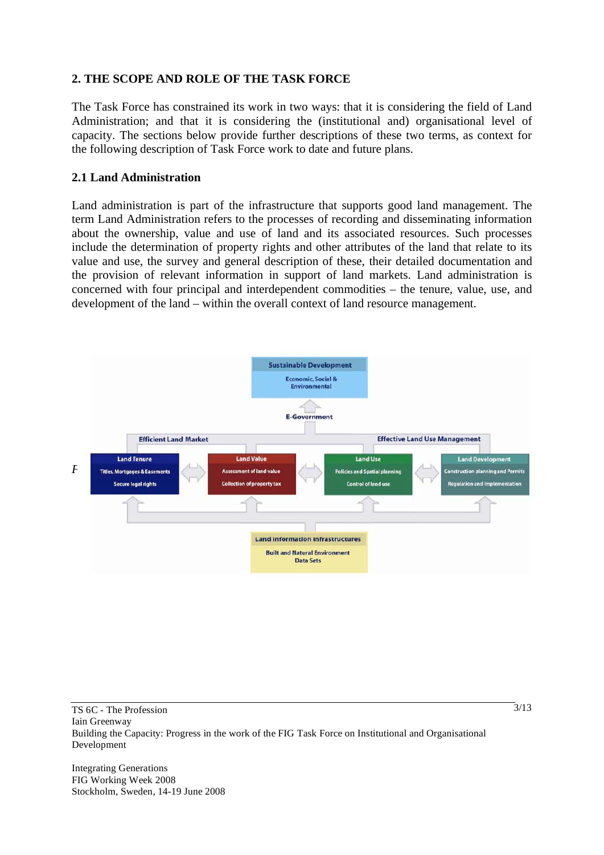# **2. THE SCOPE AND ROLE OF THE TASK FORCE**

The Task Force has constrained its work in two ways: that it is considering the field of Land Administration; and that it is considering the (institutional and) organisational level of capacity. The sections below provide further descriptions of these two terms, as context for the following description of Task Force work to date and future plans.

### **2.1 Land Administration**

Land administration is part of the infrastructure that supports good land management. The term Land Administration refers to the processes of recording and disseminating information about the ownership, value and use of land and its associated resources. Such processes include the determination of property rights and other attributes of the land that relate to its value and use, the survey and general description of these, their detailed documentation and the provision of relevant information in support of land markets. Land administration is concerned with four principal and interdependent commodities – the tenure, value, use, and development of the land – within the overall context of land resource management.



Integrating Generations FIG Working Week 2008 Stockholm, Sweden, 14-19 June 2008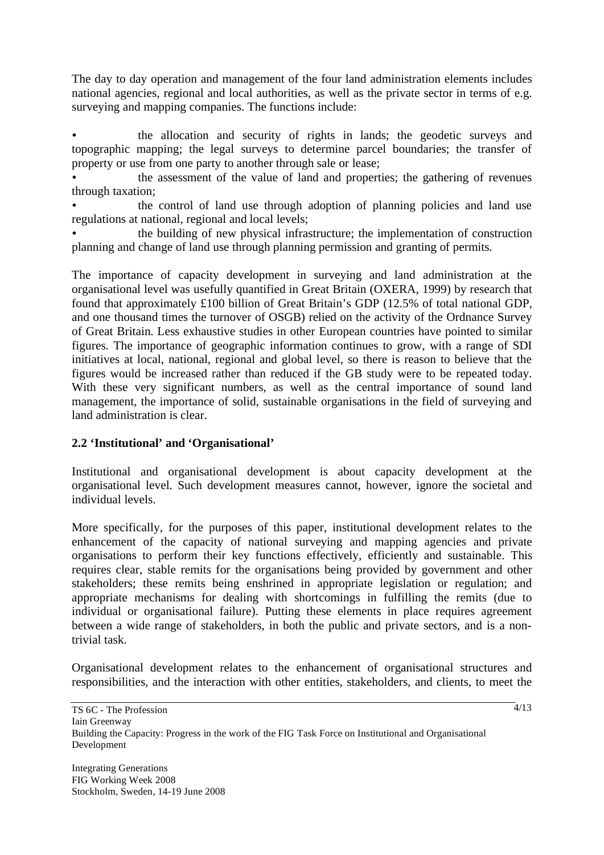The day to day operation and management of the four land administration elements includes national agencies, regional and local authorities, as well as the private sector in terms of e.g. surveying and mapping companies. The functions include:

• the allocation and security of rights in lands; the geodetic surveys and topographic mapping; the legal surveys to determine parcel boundaries; the transfer of property or use from one party to another through sale or lease;

• the assessment of the value of land and properties; the gathering of revenues through taxation;

• the control of land use through adoption of planning policies and land use regulations at national, regional and local levels;

• the building of new physical infrastructure; the implementation of construction planning and change of land use through planning permission and granting of permits.

The importance of capacity development in surveying and land administration at the organisational level was usefully quantified in Great Britain (OXERA, 1999) by research that found that approximately £100 billion of Great Britain's GDP (12.5% of total national GDP, and one thousand times the turnover of OSGB) relied on the activity of the Ordnance Survey of Great Britain. Less exhaustive studies in other European countries have pointed to similar figures. The importance of geographic information continues to grow, with a range of SDI initiatives at local, national, regional and global level, so there is reason to believe that the figures would be increased rather than reduced if the GB study were to be repeated today. With these very significant numbers, as well as the central importance of sound land management, the importance of solid, sustainable organisations in the field of surveying and land administration is clear.

# **2.2 'Institutional' and 'Organisational'**

Institutional and organisational development is about capacity development at the organisational level. Such development measures cannot, however, ignore the societal and individual levels.

More specifically, for the purposes of this paper, institutional development relates to the enhancement of the capacity of national surveying and mapping agencies and private organisations to perform their key functions effectively, efficiently and sustainable. This requires clear, stable remits for the organisations being provided by government and other stakeholders; these remits being enshrined in appropriate legislation or regulation; and appropriate mechanisms for dealing with shortcomings in fulfilling the remits (due to individual or organisational failure). Putting these elements in place requires agreement between a wide range of stakeholders, in both the public and private sectors, and is a nontrivial task.

Organisational development relates to the enhancement of organisational structures and responsibilities, and the interaction with other entities, stakeholders, and clients, to meet the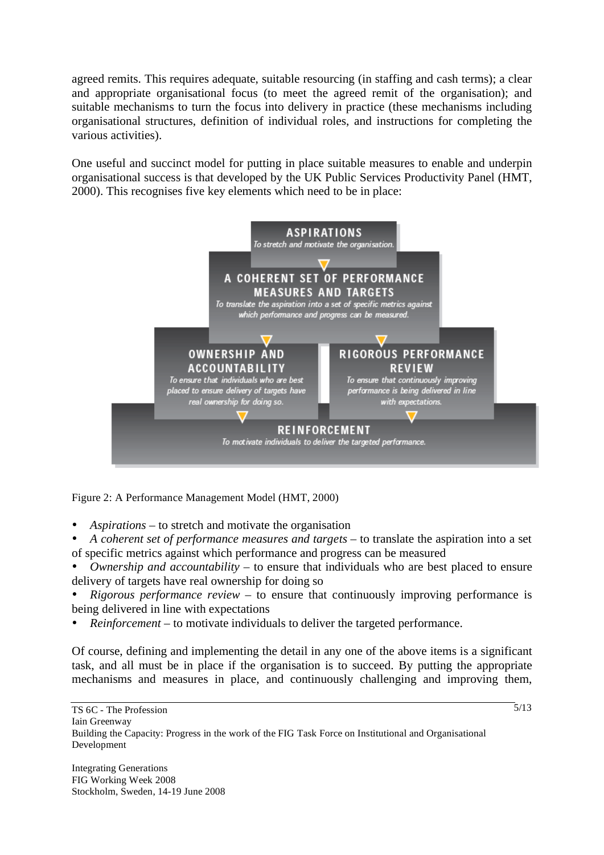agreed remits. This requires adequate, suitable resourcing (in staffing and cash terms); a clear and appropriate organisational focus (to meet the agreed remit of the organisation); and suitable mechanisms to turn the focus into delivery in practice (these mechanisms including organisational structures, definition of individual roles, and instructions for completing the various activities).

One useful and succinct model for putting in place suitable measures to enable and underpin organisational success is that developed by the UK Public Services Productivity Panel (HMT, 2000). This recognises five key elements which need to be in place:



Figure 2: A Performance Management Model (HMT, 2000)

- *Aspirations* to stretch and motivate the organisation
- *A coherent set of performance measures and targets* to translate the aspiration into a set of specific metrics against which performance and progress can be measured
- *Ownership and accountability* to ensure that individuals who are best placed to ensure delivery of targets have real ownership for doing so
- *Rigorous performance review* to ensure that continuously improving performance is being delivered in line with expectations
- *Reinforcement* to motivate individuals to deliver the targeted performance.

Of course, defining and implementing the detail in any one of the above items is a significant task, and all must be in place if the organisation is to succeed. By putting the appropriate mechanisms and measures in place, and continuously challenging and improving them,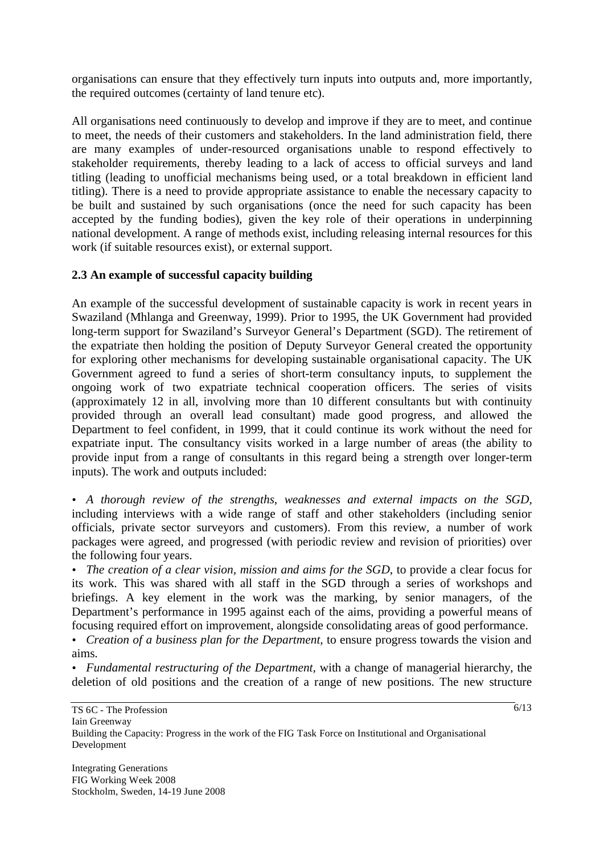organisations can ensure that they effectively turn inputs into outputs and, more importantly, the required outcomes (certainty of land tenure etc).

All organisations need continuously to develop and improve if they are to meet, and continue to meet, the needs of their customers and stakeholders. In the land administration field, there are many examples of under-resourced organisations unable to respond effectively to stakeholder requirements, thereby leading to a lack of access to official surveys and land titling (leading to unofficial mechanisms being used, or a total breakdown in efficient land titling). There is a need to provide appropriate assistance to enable the necessary capacity to be built and sustained by such organisations (once the need for such capacity has been accepted by the funding bodies), given the key role of their operations in underpinning national development. A range of methods exist, including releasing internal resources for this work (if suitable resources exist), or external support.

# **2.3 An example of successful capacity building**

An example of the successful development of sustainable capacity is work in recent years in Swaziland (Mhlanga and Greenway, 1999). Prior to 1995, the UK Government had provided long-term support for Swaziland's Surveyor General's Department (SGD). The retirement of the expatriate then holding the position of Deputy Surveyor General created the opportunity for exploring other mechanisms for developing sustainable organisational capacity. The UK Government agreed to fund a series of short-term consultancy inputs, to supplement the ongoing work of two expatriate technical cooperation officers. The series of visits (approximately 12 in all, involving more than 10 different consultants but with continuity provided through an overall lead consultant) made good progress, and allowed the Department to feel confident, in 1999, that it could continue its work without the need for expatriate input. The consultancy visits worked in a large number of areas (the ability to provide input from a range of consultants in this regard being a strength over longer-term inputs). The work and outputs included:

• *A thorough review of the strengths, weaknesses and external impacts on the SGD,* including interviews with a wide range of staff and other stakeholders (including senior officials, private sector surveyors and customers). From this review, a number of work packages were agreed, and progressed (with periodic review and revision of priorities) over the following four years.

• *The creation of a clear vision, mission and aims for the SGD*, to provide a clear focus for its work. This was shared with all staff in the SGD through a series of workshops and briefings. A key element in the work was the marking, by senior managers, of the Department's performance in 1995 against each of the aims, providing a powerful means of focusing required effort on improvement, alongside consolidating areas of good performance.

• *Creation of a business plan for the Department*, to ensure progress towards the vision and aims.

• *Fundamental restructuring of the Department,* with a change of managerial hierarchy, the deletion of old positions and the creation of a range of new positions. The new structure

Integrating Generations FIG Working Week 2008 Stockholm, Sweden, 14-19 June 2008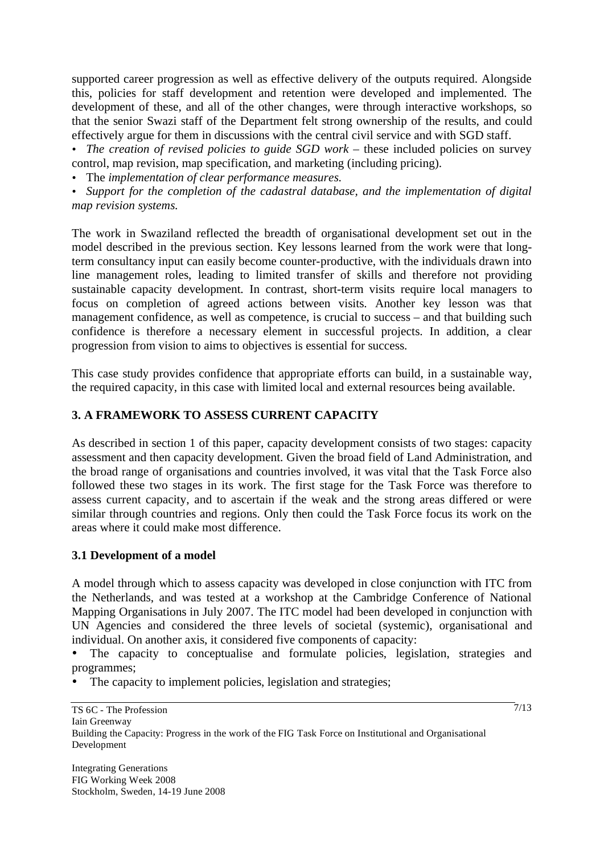supported career progression as well as effective delivery of the outputs required. Alongside this, policies for staff development and retention were developed and implemented. The development of these, and all of the other changes, were through interactive workshops, so that the senior Swazi staff of the Department felt strong ownership of the results, and could effectively argue for them in discussions with the central civil service and with SGD staff.

• *The creation of revised policies to guide SGD work* – these included policies on survey control, map revision, map specification, and marketing (including pricing).

• The *implementation of clear performance measures*.

• *Support for the completion of the cadastral database, and the implementation of digital map revision systems.* 

The work in Swaziland reflected the breadth of organisational development set out in the model described in the previous section. Key lessons learned from the work were that longterm consultancy input can easily become counter-productive, with the individuals drawn into line management roles, leading to limited transfer of skills and therefore not providing sustainable capacity development. In contrast, short-term visits require local managers to focus on completion of agreed actions between visits. Another key lesson was that management confidence, as well as competence, is crucial to success – and that building such confidence is therefore a necessary element in successful projects. In addition, a clear progression from vision to aims to objectives is essential for success.

This case study provides confidence that appropriate efforts can build, in a sustainable way, the required capacity, in this case with limited local and external resources being available.

# **3. A FRAMEWORK TO ASSESS CURRENT CAPACITY**

As described in section 1 of this paper, capacity development consists of two stages: capacity assessment and then capacity development. Given the broad field of Land Administration, and the broad range of organisations and countries involved, it was vital that the Task Force also followed these two stages in its work. The first stage for the Task Force was therefore to assess current capacity, and to ascertain if the weak and the strong areas differed or were similar through countries and regions. Only then could the Task Force focus its work on the areas where it could make most difference.

# **3.1 Development of a model**

A model through which to assess capacity was developed in close conjunction with ITC from the Netherlands, and was tested at a workshop at the Cambridge Conference of National Mapping Organisations in July 2007. The ITC model had been developed in conjunction with UN Agencies and considered the three levels of societal (systemic), organisational and individual. On another axis, it considered five components of capacity:

• The capacity to conceptualise and formulate policies, legislation, strategies and programmes;

The capacity to implement policies, legislation and strategies;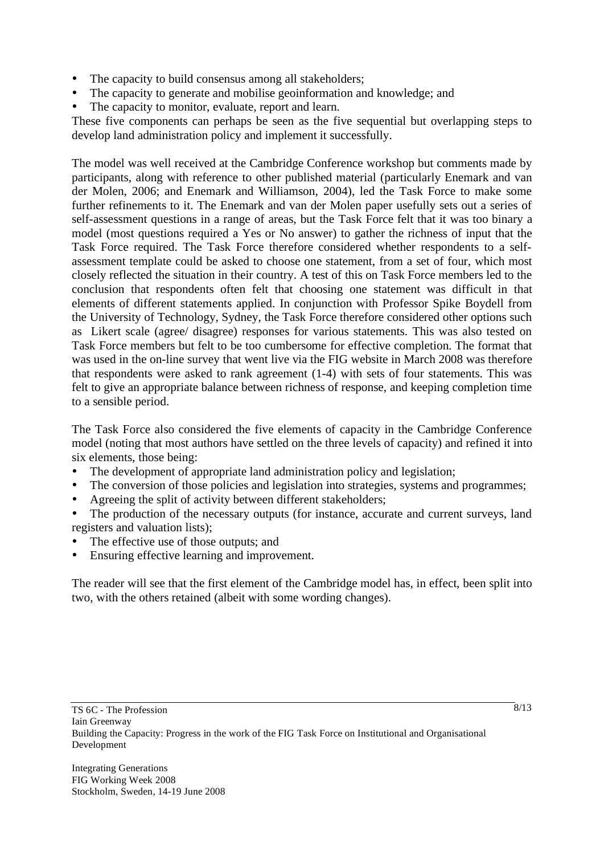- The capacity to build consensus among all stakeholders;
- The capacity to generate and mobilise geoinformation and knowledge; and
- The capacity to monitor, evaluate, report and learn.

These five components can perhaps be seen as the five sequential but overlapping steps to develop land administration policy and implement it successfully.

The model was well received at the Cambridge Conference workshop but comments made by participants, along with reference to other published material (particularly Enemark and van der Molen, 2006; and Enemark and Williamson, 2004), led the Task Force to make some further refinements to it. The Enemark and van der Molen paper usefully sets out a series of self-assessment questions in a range of areas, but the Task Force felt that it was too binary a model (most questions required a Yes or No answer) to gather the richness of input that the Task Force required. The Task Force therefore considered whether respondents to a selfassessment template could be asked to choose one statement, from a set of four, which most closely reflected the situation in their country. A test of this on Task Force members led to the conclusion that respondents often felt that choosing one statement was difficult in that elements of different statements applied. In conjunction with Professor Spike Boydell from the University of Technology, Sydney, the Task Force therefore considered other options such as Likert scale (agree/ disagree) responses for various statements. This was also tested on Task Force members but felt to be too cumbersome for effective completion. The format that was used in the on-line survey that went live via the FIG website in March 2008 was therefore that respondents were asked to rank agreement (1-4) with sets of four statements. This was felt to give an appropriate balance between richness of response, and keeping completion time to a sensible period.

The Task Force also considered the five elements of capacity in the Cambridge Conference model (noting that most authors have settled on the three levels of capacity) and refined it into six elements, those being:

- The development of appropriate land administration policy and legislation;
- The conversion of those policies and legislation into strategies, systems and programmes;
- Agreeing the split of activity between different stakeholders;
- The production of the necessary outputs (for instance, accurate and current surveys, land registers and valuation lists);
- The effective use of those outputs; and
- Ensuring effective learning and improvement.

The reader will see that the first element of the Cambridge model has, in effect, been split into two, with the others retained (albeit with some wording changes).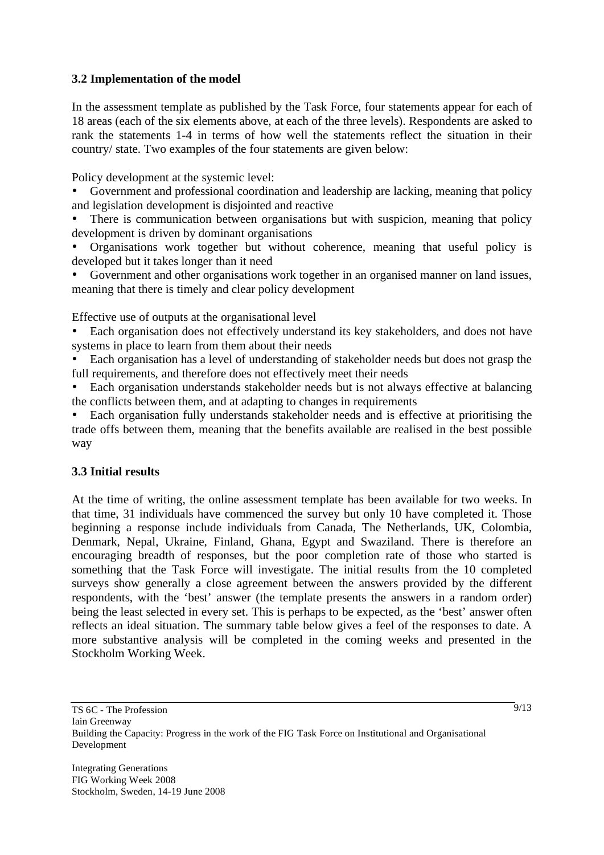# **3.2 Implementation of the model**

In the assessment template as published by the Task Force, four statements appear for each of 18 areas (each of the six elements above, at each of the three levels). Respondents are asked to rank the statements 1-4 in terms of how well the statements reflect the situation in their country/ state. Two examples of the four statements are given below:

Policy development at the systemic level:

• Government and professional coordination and leadership are lacking, meaning that policy and legislation development is disjointed and reactive

There is communication between organisations but with suspicion, meaning that policy development is driven by dominant organisations

• Organisations work together but without coherence, meaning that useful policy is developed but it takes longer than it need

• Government and other organisations work together in an organised manner on land issues, meaning that there is timely and clear policy development

Effective use of outputs at the organisational level

• Each organisation does not effectively understand its key stakeholders, and does not have systems in place to learn from them about their needs

• Each organisation has a level of understanding of stakeholder needs but does not grasp the full requirements, and therefore does not effectively meet their needs

• Each organisation understands stakeholder needs but is not always effective at balancing the conflicts between them, and at adapting to changes in requirements

• Each organisation fully understands stakeholder needs and is effective at prioritising the trade offs between them, meaning that the benefits available are realised in the best possible way

#### **3.3 Initial results**

At the time of writing, the online assessment template has been available for two weeks. In that time, 31 individuals have commenced the survey but only 10 have completed it. Those beginning a response include individuals from Canada, The Netherlands, UK, Colombia, Denmark, Nepal, Ukraine, Finland, Ghana, Egypt and Swaziland. There is therefore an encouraging breadth of responses, but the poor completion rate of those who started is something that the Task Force will investigate. The initial results from the 10 completed surveys show generally a close agreement between the answers provided by the different respondents, with the 'best' answer (the template presents the answers in a random order) being the least selected in every set. This is perhaps to be expected, as the 'best' answer often reflects an ideal situation. The summary table below gives a feel of the responses to date. A more substantive analysis will be completed in the coming weeks and presented in the Stockholm Working Week.

Integrating Generations FIG Working Week 2008 Stockholm, Sweden, 14-19 June 2008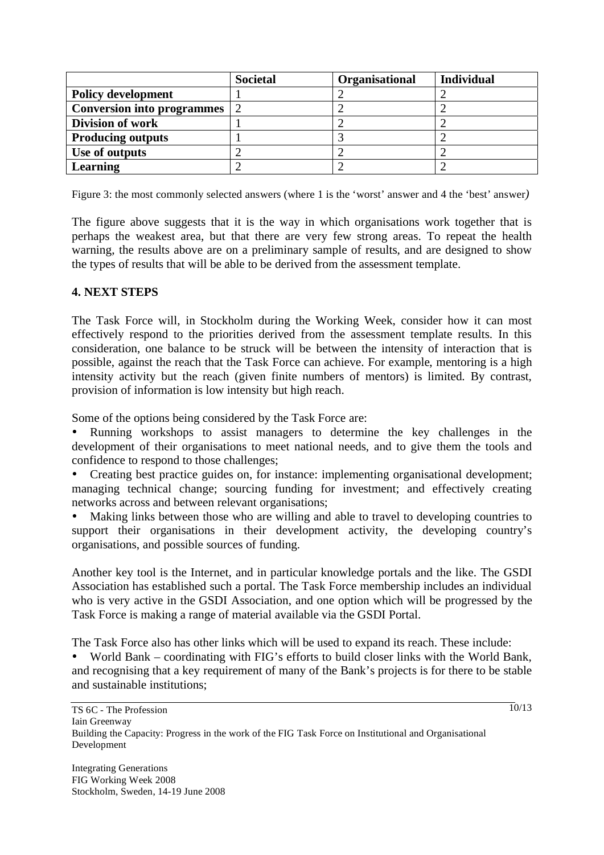|                                   | <b>Societal</b> | Organisational | <b>Individual</b> |
|-----------------------------------|-----------------|----------------|-------------------|
| <b>Policy development</b>         |                 |                |                   |
| <b>Conversion into programmes</b> |                 |                |                   |
| <b>Division of work</b>           |                 |                |                   |
| <b>Producing outputs</b>          |                 |                |                   |
| Use of outputs                    |                 |                |                   |
| Learning                          |                 |                |                   |

Figure 3: the most commonly selected answers (where 1 is the 'worst' answer and 4 the 'best' answer*)* 

The figure above suggests that it is the way in which organisations work together that is perhaps the weakest area, but that there are very few strong areas. To repeat the health warning, the results above are on a preliminary sample of results, and are designed to show the types of results that will be able to be derived from the assessment template.

### **4. NEXT STEPS**

The Task Force will, in Stockholm during the Working Week, consider how it can most effectively respond to the priorities derived from the assessment template results. In this consideration, one balance to be struck will be between the intensity of interaction that is possible, against the reach that the Task Force can achieve. For example, mentoring is a high intensity activity but the reach (given finite numbers of mentors) is limited. By contrast, provision of information is low intensity but high reach.

Some of the options being considered by the Task Force are:

• Running workshops to assist managers to determine the key challenges in the development of their organisations to meet national needs, and to give them the tools and confidence to respond to those challenges;

• Creating best practice guides on, for instance: implementing organisational development; managing technical change; sourcing funding for investment; and effectively creating networks across and between relevant organisations;

• Making links between those who are willing and able to travel to developing countries to support their organisations in their development activity, the developing country's organisations, and possible sources of funding.

Another key tool is the Internet, and in particular knowledge portals and the like. The GSDI Association has established such a portal. The Task Force membership includes an individual who is very active in the GSDI Association, and one option which will be progressed by the Task Force is making a range of material available via the GSDI Portal.

The Task Force also has other links which will be used to expand its reach. These include:

• World Bank – coordinating with FIG's efforts to build closer links with the World Bank, and recognising that a key requirement of many of the Bank's projects is for there to be stable and sustainable institutions;

 $\frac{1}{10}$ /13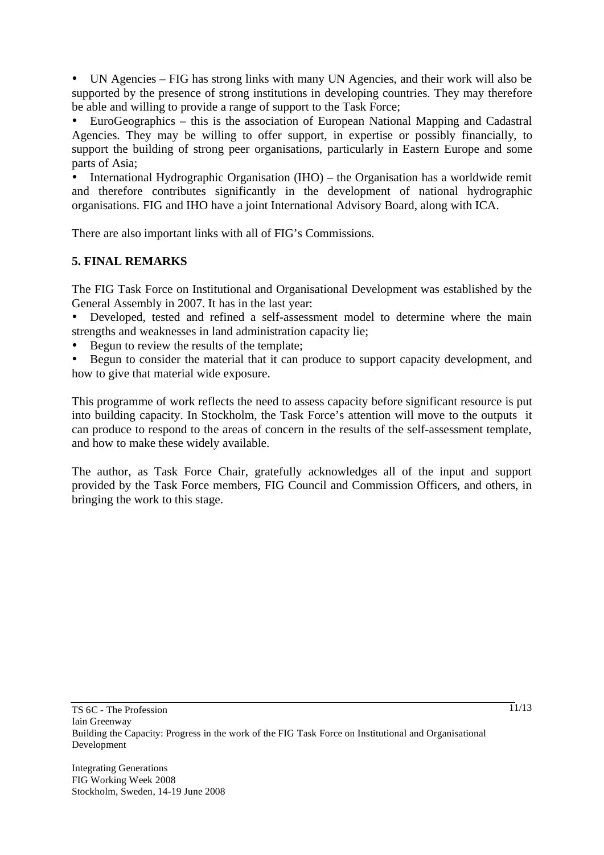• UN Agencies – FIG has strong links with many UN Agencies, and their work will also be supported by the presence of strong institutions in developing countries. They may therefore be able and willing to provide a range of support to the Task Force;

• EuroGeographics – this is the association of European National Mapping and Cadastral Agencies. They may be willing to offer support, in expertise or possibly financially, to support the building of strong peer organisations, particularly in Eastern Europe and some parts of Asia;

• International Hydrographic Organisation (IHO) – the Organisation has a worldwide remit and therefore contributes significantly in the development of national hydrographic organisations. FIG and IHO have a joint International Advisory Board, along with ICA.

There are also important links with all of FIG's Commissions.

# **5. FINAL REMARKS**

The FIG Task Force on Institutional and Organisational Development was established by the General Assembly in 2007. It has in the last year:

• Developed, tested and refined a self-assessment model to determine where the main strengths and weaknesses in land administration capacity lie;

- Begun to review the results of the template;
- Begun to consider the material that it can produce to support capacity development, and how to give that material wide exposure.

This programme of work reflects the need to assess capacity before significant resource is put into building capacity. In Stockholm, the Task Force's attention will move to the outputs it can produce to respond to the areas of concern in the results of the self-assessment template, and how to make these widely available.

The author, as Task Force Chair, gratefully acknowledges all of the input and support provided by the Task Force members, FIG Council and Commission Officers, and others, in bringing the work to this stage.

Integrating Generations FIG Working Week 2008 Stockholm, Sweden, 14-19 June 2008  $\frac{1}{11/13}$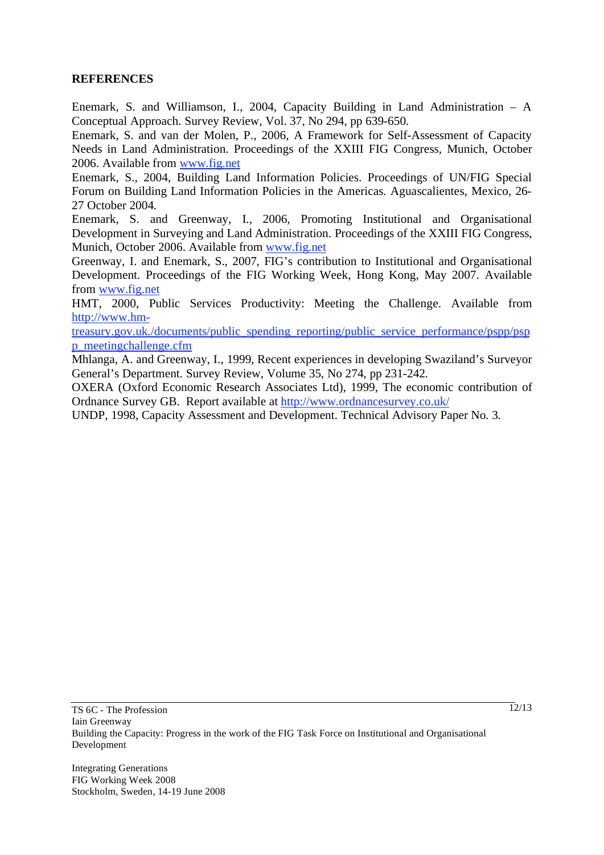### **REFERENCES**

Enemark, S. and Williamson, I., 2004, Capacity Building in Land Administration – A Conceptual Approach. Survey Review, Vol. 37, No 294, pp 639-650.

Enemark, S. and van der Molen, P., 2006, A Framework for Self-Assessment of Capacity Needs in Land Administration. Proceedings of the XXIII FIG Congress, Munich, October 2006. Available from www.fig.net

Enemark, S., 2004, Building Land Information Policies. Proceedings of UN/FIG Special Forum on Building Land Information Policies in the Americas. Aguascalientes, Mexico, 26- 27 October 2004.

Enemark, S. and Greenway, I., 2006, Promoting Institutional and Organisational Development in Surveying and Land Administration. Proceedings of the XXIII FIG Congress, Munich, October 2006. Available from www.fig.net

Greenway, I. and Enemark, S., 2007, FIG's contribution to Institutional and Organisational Development. Proceedings of the FIG Working Week, Hong Kong, May 2007. Available from www.fig.net

HMT, 2000, Public Services Productivity: Meeting the Challenge. Available from http://www.hm-

treasury.gov.uk./documents/public\_spending\_reporting/public\_service\_performance/pspp/psp p\_meetingchallenge.cfm

Mhlanga, A. and Greenway, I., 1999, Recent experiences in developing Swaziland's Surveyor General's Department. Survey Review, Volume 35, No 274, pp 231-242.

OXERA (Oxford Economic Research Associates Ltd), 1999, The economic contribution of Ordnance Survey GB. Report available at http://www.ordnancesurvey.co.uk/

UNDP, 1998, Capacity Assessment and Development. Technical Advisory Paper No. 3.

 $\frac{1}{2}$ /13